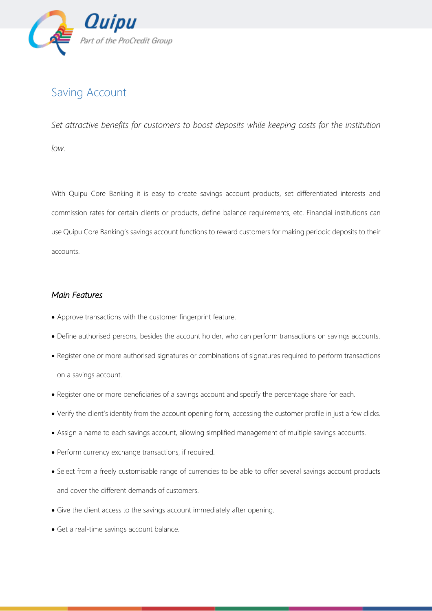

## Saving Account

*Set attractive benefits for customers to boost deposits while keeping costs for the institution low.*

With Quipu Core Banking it is easy to create savings account products, set differentiated interests and commission rates for certain clients or products, define balance requirements, etc. Financial institutions can use Quipu Core Banking's savings account functions to reward customers for making periodic deposits to their accounts.

## *Main Features*

- Approve transactions with the customer fingerprint feature.
- Define authorised persons, besides the account holder, who can perform transactions on savings accounts.
- Register one or more authorised signatures or combinations of signatures required to perform transactions on a savings account.
- Register one or more beneficiaries of a savings account and specify the percentage share for each.
- Verify the client's identity from the account opening form, accessing the customer profile in just a few clicks.
- Assign a name to each savings account, allowing simplified management of multiple savings accounts.
- Perform currency exchange transactions, if required.
- Select from a freely customisable range of currencies to be able to offer several savings account products and cover the different demands of customers.
- Give the client access to the savings account immediately after opening.
- Get a real-time savings account balance.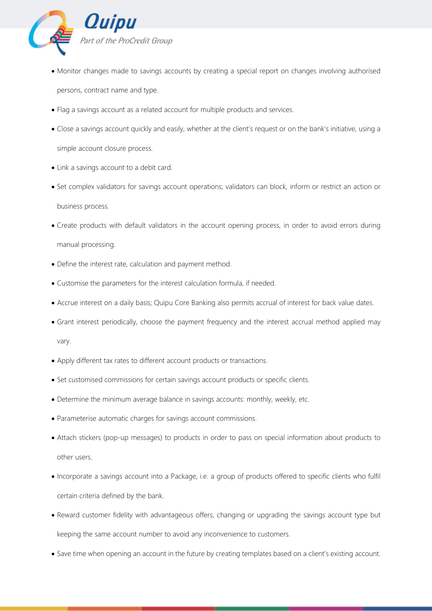

- Monitor changes made to savings accounts by creating a special report on changes involving authorised persons, contract name and type.
- Flag a savings account as a related account for multiple products and services.
- Close a savings account quickly and easily, whether at the client's request or on the bank's initiative, using a simple account closure process.
- Link a savings account to a debit card.
- Set complex validators for savings account operations; validators can block, inform or restrict an action or business process.
- Create products with default validators in the account opening process, in order to avoid errors during manual processing.
- Define the interest rate, calculation and payment method.
- Customise the parameters for the interest calculation formula, if needed.
- Accrue interest on a daily basis; Quipu Core Banking also permits accrual of interest for back value dates.
- Grant interest periodically, choose the payment frequency and the interest accrual method applied may vary.
- Apply different tax rates to different account products or transactions.
- Set customised commissions for certain savings account products or specific clients.
- Determine the minimum average balance in savings accounts: monthly, weekly, etc.
- Parameterise automatic charges for savings account commissions.
- Attach stickers (pop-up messages) to products in order to pass on special information about products to other users.
- Incorporate a savings account into a Package, i.e. a group of products offered to specific clients who fulfil certain criteria defined by the bank.
- Reward customer fidelity with advantageous offers, changing or upgrading the savings account type but keeping the same account number to avoid any inconvenience to customers.
- Save time when opening an account in the future by creating templates based on a client's existing account.